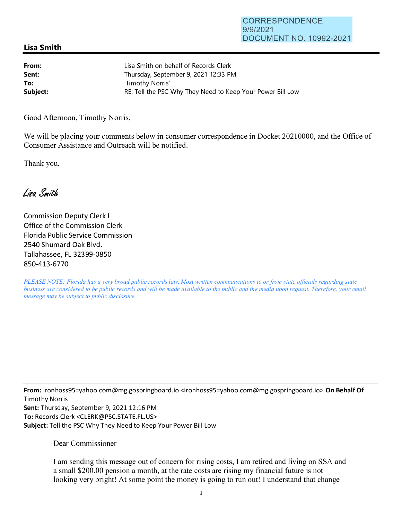## **Lisa Smith**

| From:    | Lisa Smith on behalf of Records Clerk                      |
|----------|------------------------------------------------------------|
| Sent:    | Thursday, September 9, 2021 12:33 PM                       |
| To:      | 'Timothy Norris'                                           |
| Subject: | RE: Tell the PSC Why They Need to Keep Your Power Bill Low |

Good Afternoon, Timothy Norris,

We will be placing your comments below in consumer correspondence in Docket 20210000, and the Office of Consumer Assistance and Outreach will be notified.

Thank you.

Lisa Smith

Commission Deputy Clerk I Office of the Commission Clerk Florida Public Service Commission 2540 Shumard Oak Blvd. Tallahassee, FL 32399-0850 850-413-6770

*PLEASE NOTE: Florida has a very broad public records law. Most written communications to or from state officials regarding state business are considered to be public records and will be made available to the public and the media upon request. Therefore, your email message may be subject to public disclosure.* 

**From:** ironhoss95=yahoo.com@mg.gospringboard.io <ironhoss95=yahoo.com@mg.gospringboard.io> **On Behalf Of**  Timothy Norris Sent: Thursday, September 9, 2021 12:16 PM **To:** Records Clerk <CLERK@PSC.STATE.FL.US> **Subject:** Tell the PSC Why They Need to Keep Your Power Bill Low

Dear Commissioner

I am sending this message out of concern for rising costs, I am retired and living on SSA and a small \$200.00 pension a month, at the rate costs are rising my financial future is not looking very bright! At some point the money is going to run out! I understand that change